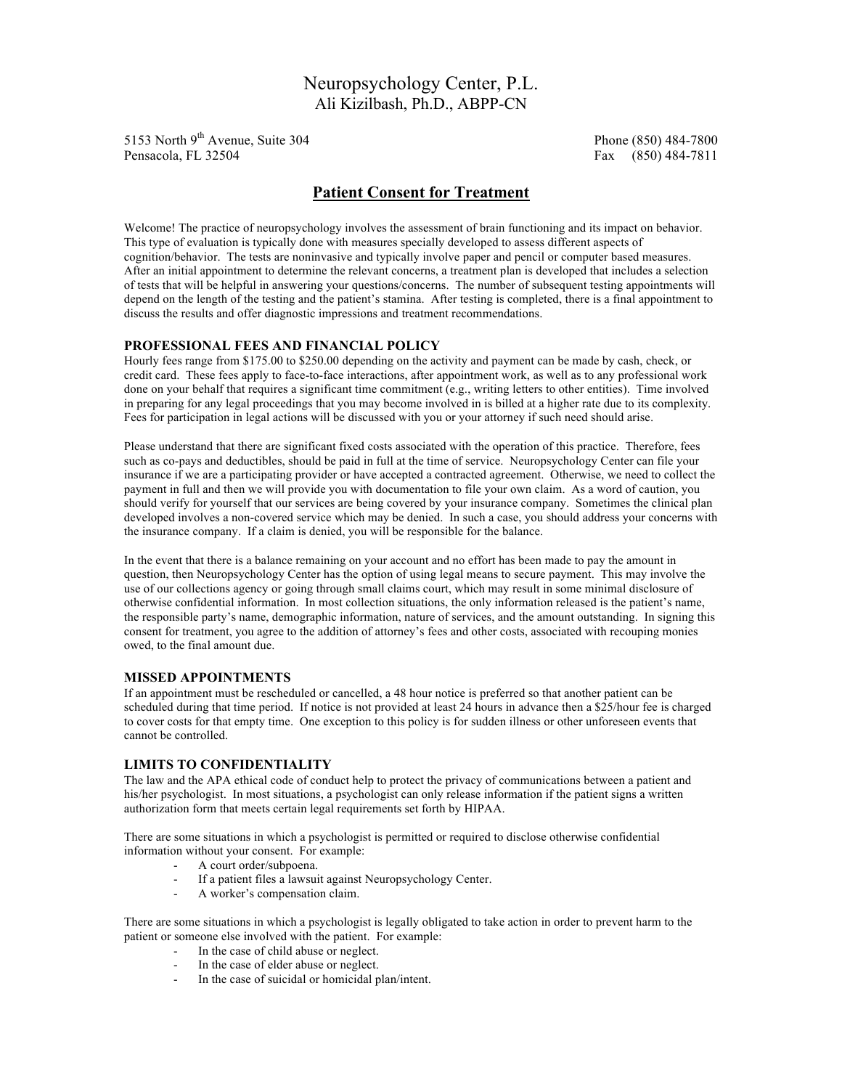# Neuropsychology Center, P.L. Ali Kizilbash, Ph.D., ABPP-CN

5153 North 9th Avenue, Suite 304 Phone (850) 484-7800 Pensacola, FL 32504 **Fax** (850) 484-7811

## **Patient Consent for Treatment**

Welcome! The practice of neuropsychology involves the assessment of brain functioning and its impact on behavior. This type of evaluation is typically done with measures specially developed to assess different aspects of cognition/behavior. The tests are noninvasive and typically involve paper and pencil or computer based measures. After an initial appointment to determine the relevant concerns, a treatment plan is developed that includes a selection of tests that will be helpful in answering your questions/concerns. The number of subsequent testing appointments will depend on the length of the testing and the patient's stamina. After testing is completed, there is a final appointment to discuss the results and offer diagnostic impressions and treatment recommendations.

#### **PROFESSIONAL FEES AND FINANCIAL POLICY**

Hourly fees range from \$175.00 to \$250.00 depending on the activity and payment can be made by cash, check, or credit card. These fees apply to face-to-face interactions, after appointment work, as well as to any professional work done on your behalf that requires a significant time commitment (e.g., writing letters to other entities). Time involved in preparing for any legal proceedings that you may become involved in is billed at a higher rate due to its complexity. Fees for participation in legal actions will be discussed with you or your attorney if such need should arise.

Please understand that there are significant fixed costs associated with the operation of this practice. Therefore, fees such as co-pays and deductibles, should be paid in full at the time of service. Neuropsychology Center can file your insurance if we are a participating provider or have accepted a contracted agreement. Otherwise, we need to collect the payment in full and then we will provide you with documentation to file your own claim. As a word of caution, you should verify for yourself that our services are being covered by your insurance company. Sometimes the clinical plan developed involves a non-covered service which may be denied. In such a case, you should address your concerns with the insurance company. If a claim is denied, you will be responsible for the balance.

In the event that there is a balance remaining on your account and no effort has been made to pay the amount in question, then Neuropsychology Center has the option of using legal means to secure payment. This may involve the use of our collections agency or going through small claims court, which may result in some minimal disclosure of otherwise confidential information. In most collection situations, the only information released is the patient's name, the responsible party's name, demographic information, nature of services, and the amount outstanding. In signing this consent for treatment, you agree to the addition of attorney's fees and other costs, associated with recouping monies owed, to the final amount due.

#### **MISSED APPOINTMENTS**

If an appointment must be rescheduled or cancelled, a 48 hour notice is preferred so that another patient can be scheduled during that time period. If notice is not provided at least 24 hours in advance then a \$25/hour fee is charged to cover costs for that empty time. One exception to this policy is for sudden illness or other unforeseen events that cannot be controlled.

#### **LIMITS TO CONFIDENTIALITY**

The law and the APA ethical code of conduct help to protect the privacy of communications between a patient and his/her psychologist. In most situations, a psychologist can only release information if the patient signs a written authorization form that meets certain legal requirements set forth by HIPAA.

There are some situations in which a psychologist is permitted or required to disclose otherwise confidential information without your consent. For example:

- A court order/subpoena.
- If a patient files a lawsuit against Neuropsychology Center.
- A worker's compensation claim.

There are some situations in which a psychologist is legally obligated to take action in order to prevent harm to the patient or someone else involved with the patient. For example:

- In the case of child abuse or neglect.
- In the case of elder abuse or neglect.
- In the case of suicidal or homicidal plan/intent.